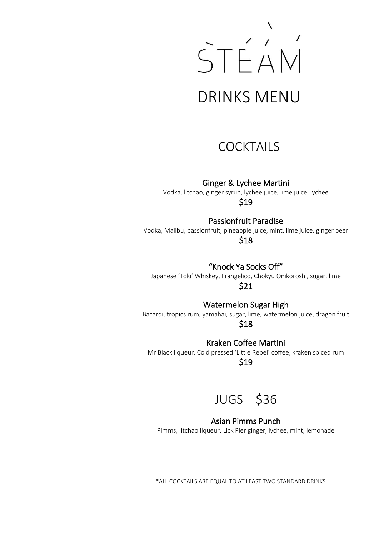

### **COCKTAILS**

Ginger & Lychee Martini

Vodka, litchao, ginger syrup, lychee juice, lime juice, lychee \$19

Passionfruit Paradise

Vodka, Malibu, passionfruit, pineapple juice, mint, lime juice, ginger beer \$18

"Knock Ya Socks Off"

Japanese 'Toki' Whiskey, Frangelico, Chokyu Onikoroshi, sugar, lime \$21

Watermelon Sugar High

Bacardi, tropics rum, yamahai, sugar, lime, watermelon juice, dragon fruit \$18

Kraken Coffee Martini

Mr Black liqueur, Cold pressed 'Little Rebel' coffee, kraken spiced rum

\$19

JUGS \$36

#### Asian Pimms Punch

Pimms, litchao liqueur, Lick Pier ginger, lychee, mint, lemonade

\*ALL COCKTAILS ARE EQUAL TO AT LEAST TWO STANDARD DRINKS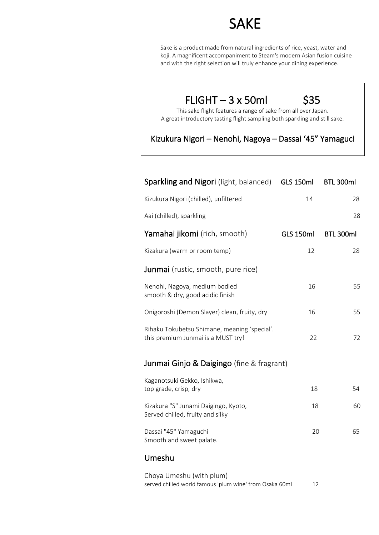## SAKE

Sake is a product made from natural ingredients of rice, yeast, water and koji. A magnificent accompaniment to Steam's modern Asian fusion cuisine and with the right selection will truly enhance your dining experience.

### $FLIGHT - 3 x 50ml$  \$35

This sake flight features a range of sake from all over Japan. A great introductory tasting flight sampling both sparkling and still sake.

Kizukura Nigori – Nenohi, Nagoya – Dassai '45" Yamaguci

| <b>Sparkling and Nigori</b> (light, balanced)                                      | <b>GLS 150ml</b> | BTL 300ml |
|------------------------------------------------------------------------------------|------------------|-----------|
| Kizukura Nigori (chilled), unfiltered                                              | 14               | 28        |
| Aai (chilled), sparkling                                                           |                  | 28        |
| Yamahai jikomi (rich, smooth)                                                      | <b>GLS 150ml</b> | BTL 300ml |
| Kizakura (warm or room temp)                                                       | 12               | 28        |
| Junmai (rustic, smooth, pure rice)                                                 |                  |           |
| Nenohi, Nagoya, medium bodied<br>smooth & dry, good acidic finish                  | 16               | 55        |
| Onigoroshi (Demon Slayer) clean, fruity, dry                                       | 16               | 55        |
| Rihaku Tokubetsu Shimane, meaning 'special'.<br>this premium Junmai is a MUST try! | 22               | 72        |
| Junmai Ginjo & Daigingo (fine & fragrant)                                          |                  |           |
| Kaganotsuki Gekko, Ishikwa,<br>top grade, crisp, dry                               | 18               | 54        |
| Kizakura "S" Junami Daigingo, Kyoto,<br>Served chilled, fruity and silky           | 18               | 60        |
| Dassai "45" Yamaguchi<br>Smooth and sweet palate.                                  | 20               | 65        |
| Umeshu                                                                             |                  |           |

Choya Umeshu (with plum) served chilled world famous 'plum wine' from Osaka 60ml 12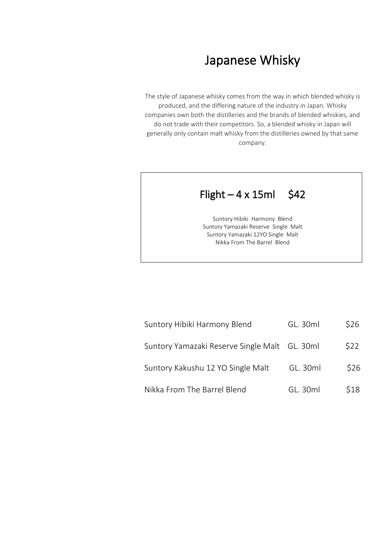## Japanese Whisky

The style of Japanese whisky comes from the way in which blended whisky is produced, and the differing nature of the industry in Japan. Whisky companies own both the distilleries and the brands of blended whiskies, and do not trade with their competitors. So, a blended whisky in Japan will generally only contain malt whisky from the distilleries owned by that same company.

### Flight  $-4 \times 15$ ml \$42

Suntory Hibiki Harmony Blend Suntory Yamazaki Reserve Single Malt Suntory Yamazaki 12YO Single Malt Nikka From The Barrel Blend

| Suntory Hibiki Harmony Blend                  | GL. 30ml | \$26 |
|-----------------------------------------------|----------|------|
| Suntory Yamazaki Reserve Single Malt GL. 30ml |          | \$22 |
| Suntory Kakushu 12 YO Single Malt             | GL. 30ml | \$26 |
| Nikka From The Barrel Blend                   | GL. 30ml | \$18 |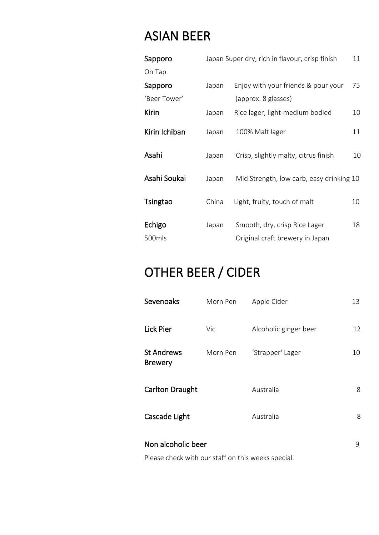## ASIAN BEER

| Sapporo          |       | Japan Super dry, rich in flavour, crisp finish                   | 11 |
|------------------|-------|------------------------------------------------------------------|----|
| On Tap           |       |                                                                  |    |
| Sapporo          | Japan | Enjoy with your friends & pour your                              | 75 |
| 'Beer Tower'     |       | (approx. 8 glasses)                                              |    |
| <b>Kirin</b>     | Japan | Rice lager, light-medium bodied                                  | 10 |
| Kirin Ichiban    | Japan | 100% Malt lager                                                  | 11 |
| Asahi            | Japan | Crisp, slightly malty, citrus finish                             | 10 |
| Asahi Soukai     | Japan | Mid Strength, low carb, easy drinking 10                         |    |
| Tsingtao         | China | Light, fruity, touch of malt                                     | 10 |
| Echigo<br>500mls | Japan | Smooth, dry, crisp Rice Lager<br>Original craft brewery in Japan | 18 |

# OTHER BEER / CIDER

| Sevenoaks                                          | Morn Pen | Apple Cider           | 13 |
|----------------------------------------------------|----------|-----------------------|----|
| <b>Lick Pier</b>                                   | Vic      | Alcoholic ginger beer | 12 |
| <b>St Andrews</b><br><b>Brewery</b>                | Morn Pen | 'Strapper' Lager      | 10 |
| <b>Carlton Draught</b>                             |          | Australia             | 8  |
| Cascade Light                                      |          | Australia             | 8  |
| Non alcoholic beer                                 |          |                       | 9  |
| Please check with our staff on this weeks special. |          |                       |    |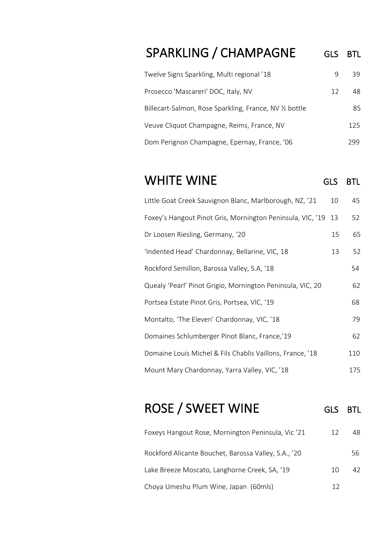## SPARKLING / CHAMPAGNE GLS BTL

| Twelve Signs Sparkling, Multi regional '18            |    | 39   |
|-------------------------------------------------------|----|------|
| Prosecco 'Mascareri' DOC, Italy, NV                   | 12 | 48   |
| Billecart-Salmon, Rose Sparkling, France, NV % bottle |    | 85   |
| Veuve Cliquot Champagne, Reims, France, NV            |    | 125  |
| Dom Perignon Champagne, Epernay, France, '06          |    | 299. |

## WHITE WINE GLS BTL

| Little Goat Creek Sauvignon Blanc, Marlborough, NZ, '21    | 10 | 45  |
|------------------------------------------------------------|----|-----|
| Foxey's Hangout Pinot Gris, Mornington Peninsula, VIC, '19 | 13 | 52  |
| Dr Loosen Riesling, Germany, '20                           | 15 | 65  |
| 'Indented Head' Chardonnay, Bellarine, VIC, 18             | 13 | 52  |
| Rockford Semillon, Barossa Valley, S.A, '18                |    | 54  |
| Quealy 'Pearl' Pinot Grigio, Mornington Peninsula, VIC, 20 |    | 62  |
| Portsea Estate Pinot Gris, Portsea, VIC, '19               |    | 68  |
| Montalto, 'The Eleven' Chardonnay, VIC, '18                |    | 79  |
| Domaines Schlumberger Pinot Blanc, France,'19              |    | 62  |
| Domaine Louis Michel & Fils Chablis Vaillons, France, '18  |    | 110 |
| Mount Mary Chardonnay, Yarra Valley, VIC, '18              |    | 175 |

# ROSE / SWEET WINE GLS BTL

| Foxeys Hangout Rose, Mornington Peninsula, Vic'21    | 12 | 48 |
|------------------------------------------------------|----|----|
| Rockford Alicante Bouchet, Barossa Valley, S.A., '20 |    | 56 |
| Lake Breeze Moscato, Langhorne Creek, SA, '19        | 10 | 42 |
| Choya Umeshu Plum Wine, Japan (60mls)                | 12 |    |